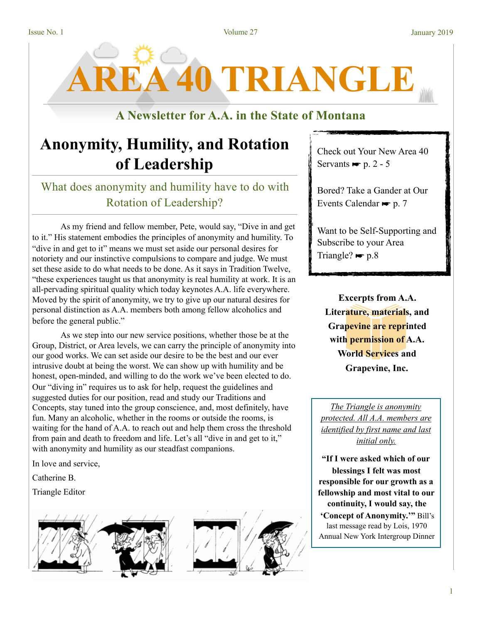**AREA 40 TRIANGLE** 

## **A Newsletter for A.A. in the State of Montana**

# **Anonymity, Humility, and Rotation of Leadership**

# What does anonymity and humility have to do with Rotation of Leadership?

As my friend and fellow member, Pete, would say, "Dive in and get to it." His statement embodies the principles of anonymity and humility. To "dive in and get to it" means we must set aside our personal desires for notoriety and our instinctive compulsions to compare and judge. We must set these aside to do what needs to be done. As it says in Tradition Twelve, "these experiences taught us that anonymity is real humility at work. It is an all-pervading spiritual quality which today keynotes A.A. life everywhere. Moved by the spirit of anonymity, we try to give up our natural desires for personal distinction as A.A. members both among fellow alcoholics and before the general public."

 As we step into our new service positions, whether those be at the Group, District, or Area levels, we can carry the principle of anonymity into our good works. We can set aside our desire to be the best and our ever intrusive doubt at being the worst. We can show up with humility and be honest, open-minded, and willing to do the work we've been elected to do. Our "diving in" requires us to ask for help, request the guidelines and suggested duties for our position, read and study our Traditions and Concepts, stay tuned into the group conscience, and, most definitely, have fun. Many an alcoholic, whether in the rooms or outside the rooms, is waiting for the hand of A.A. to reach out and help them cross the threshold from pain and death to freedom and life. Let's all "dive in and get to it," with anonymity and humility as our steadfast companions.

In love and service,

Catherine B.

Triangle Editor



Check out Your New Area 40 Servants  $\blacktriangleright$  p. 2 - 5

Bored? Take a Gander at Our Events Calendar  $\blacktriangleright$  p. 7

Want to be Self-Supporting and Subscribe to your Area Triangle?  $\blacktriangleright p.8$ 

**Excerpts from A.A. Literature, materials, and Grapevine are reprinted with permission of A.A. World Services and Grapevine, Inc.**

*The Triangle is anonymity protected. All A.A. members are identified by first name and last initial only.* 

**"If I were asked which of our blessings I felt was most responsible for our growth as a fellowship and most vital to our continuity, I would say, the 'Concept of Anonymity.'"** Bill's last message read by Lois, 1970 Annual New York Intergroup Dinner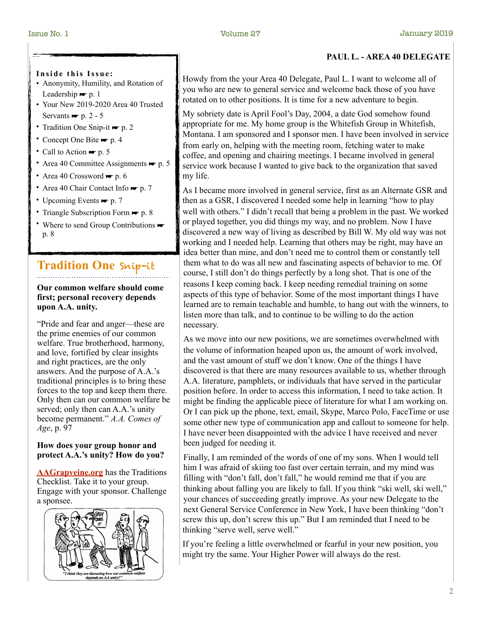### **Inside this Issue:**

- Anonymity, Humility, and Rotation of Leadership  $\blacktriangleright$  p. 1
- Your New 2019-2020 Area 40 Trusted Servants  $\blacktriangleright$  p. 2 - 5
- Tradition One Snip-it p. 2
- Concept One Bite p. 4
- Call to Action  $\blacktriangleright$  p. 5
- Area 40 Committee Assignments  $\blacktriangleright$  p. 5
- Area 40 Crossword  $\blacktriangleright$  p. 6
- Area 40 Chair Contact Info p. 7
- Upcoming Events p. 7
- Triangle Subscription Form p. 8
- Where to send Group Contributions  $\blacktriangleright$ p. 8

# **Tradition One** Snip-it

**Our common welfare should come first; personal recovery depends upon A.A. unity.** 

"Pride and fear and anger—these are the prime enemies of our common welfare. True brotherhood, harmony, and love, fortified by clear insights and right practices, are the only answers. And the purpose of A.A.'s traditional principles is to bring these forces to the top and keep them there. Only then can our common welfare be served; only then can A.A.'s unity become permanent." *A.A. Comes of Age*, p. 97

### **How does your group honor and protect A.A.'s unity? How do you?**

**[AAGrapveine.org](http://AAGrapveine.org)** has the Traditions Checklist. Take it to your group. Engage with your sponsor. Challenge a sponsee.



### **PAUL L. - AREA 40 DELEGATE**

Howdy from the your Area 40 Delegate, Paul L. I want to welcome all of you who are new to general service and welcome back those of you have rotated on to other positions. It is time for a new adventure to begin.

My sobriety date is April Fool's Day, 2004, a date God somehow found appropriate for me. My home group is the Whitefish Group in Whitefish, Montana. I am sponsored and I sponsor men. I have been involved in service from early on, helping with the meeting room, fetching water to make coffee, and opening and chairing meetings. I became involved in general service work because I wanted to give back to the organization that saved my life.

As I became more involved in general service, first as an Alternate GSR and then as a GSR, I discovered I needed some help in learning "how to play well with others." I didn't recall that being a problem in the past. We worked or played together, you did things my way, and no problem. Now I have discovered a new way of living as described by Bill W. My old way was not working and I needed help. Learning that others may be right, may have an idea better than mine, and don't need me to control them or constantly tell them what to do was all new and fascinating aspects of behavior to me. Of course, I still don't do things perfectly by a long shot. That is one of the reasons I keep coming back. I keep needing remedial training on some aspects of this type of behavior. Some of the most important things I have learned are to remain teachable and humble, to hang out with the winners, to listen more than talk, and to continue to be willing to do the action necessary.

As we move into our new positions, we are sometimes overwhelmed with the volume of information heaped upon us, the amount of work involved, and the vast amount of stuff we don't know. One of the things I have discovered is that there are many resources available to us, whether through A.A. literature, pamphlets, or individuals that have served in the particular position before. In order to access this information, I need to take action. It might be finding the applicable piece of literature for what I am working on. Or I can pick up the phone, text, email, Skype, Marco Polo, FaceTime or use some other new type of communication app and callout to someone for help. I have never been disappointed with the advice I have received and never been judged for needing it.

Finally, I am reminded of the words of one of my sons. When I would tell him I was afraid of skiing too fast over certain terrain, and my mind was filling with "don't fall, don't fall," he would remind me that if you are thinking about falling you are likely to fall. If you think "ski well, ski well," your chances of succeeding greatly improve. As your new Delegate to the next General Service Conference in New York, I have been thinking "don't screw this up, don't screw this up." But I am reminded that I need to be thinking "serve well, serve well."

If you're feeling a little overwhelmed or fearful in your new position, you might try the same. Your Higher Power will always do the rest.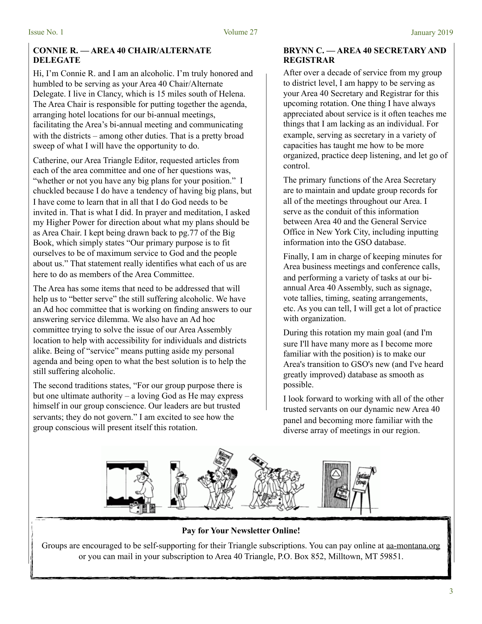### **CONNIE R. — AREA 40 CHAIR/ALTERNATE DELEGATE**

Hi, I'm Connie R. and I am an alcoholic. I'm truly honored and humbled to be serving as your Area 40 Chair/Alternate Delegate. I live in Clancy, which is 15 miles south of Helena. The Area Chair is responsible for putting together the agenda, arranging hotel locations for our bi-annual meetings, facilitating the Area's bi-annual meeting and communicating with the districts – among other duties. That is a pretty broad sweep of what I will have the opportunity to do.

Catherine, our Area Triangle Editor, requested articles from each of the area committee and one of her questions was, "whether or not you have any big plans for your position." I chuckled because I do have a tendency of having big plans, but I have come to learn that in all that I do God needs to be invited in. That is what I did. In prayer and meditation, I asked my Higher Power for direction about what my plans should be as Area Chair. I kept being drawn back to pg.77 of the Big Book, which simply states "Our primary purpose is to fit ourselves to be of maximum service to God and the people about us." That statement really identifies what each of us are here to do as members of the Area Committee.

The Area has some items that need to be addressed that will help us to "better serve" the still suffering alcoholic. We have an Ad hoc committee that is working on finding answers to our answering service dilemma. We also have an Ad hoc committee trying to solve the issue of our Area Assembly location to help with accessibility for individuals and districts alike. Being of "service" means putting aside my personal agenda and being open to what the best solution is to help the still suffering alcoholic.

The second traditions states, "For our group purpose there is but one ultimate authority – a loving God as He may express himself in our group conscience. Our leaders are but trusted servants; they do not govern." I am excited to see how the group conscious will present itself this rotation.

### **BRYNN C. — AREA 40 SECRETARY AND REGISTRAR**

After over a decade of service from my group to district level, I am happy to be serving as your Area 40 Secretary and Registrar for this upcoming rotation. One thing I have always appreciated about service is it often teaches me things that I am lacking as an individual. For example, serving as secretary in a variety of capacities has taught me how to be more organized, practice deep listening, and let go of control.

The primary functions of the Area Secretary are to maintain and update group records for all of the meetings throughout our Area. I serve as the conduit of this information between Area 40 and the General Service Office in New York City, including inputting information into the GSO database.

Finally, I am in charge of keeping minutes for Area business meetings and conference calls, and performing a variety of tasks at our biannual Area 40 Assembly, such as signage, vote tallies, timing, seating arrangements, etc. As you can tell, I will get a lot of practice with organization.

During this rotation my main goal (and I'm sure I'll have many more as I become more familiar with the position) is to make our Area's transition to GSO's new (and I've heard greatly improved) database as smooth as possible.

I look forward to working with all of the other trusted servants on our dynamic new Area 40 panel and becoming more familiar with the diverse array of meetings in our region.



**Pay for Your Newsletter Online!** 

Groups are encouraged to be self-supporting for their Triangle subscriptions. You can pay online at [aa-montana.org](http://aa-montana.org) or you can mail in your subscription to Area 40 Triangle, P.O. Box 852, Milltown, MT 59851.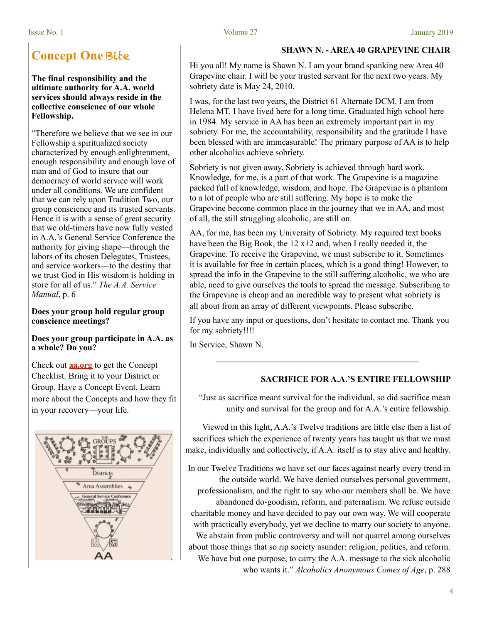# **Concept One** Bite

**The final responsibility and the ultimate authority for A.A. world services should always reside in the collective conscience of our whole Fellowship.** 

"Therefore we believe that we see in our Fellowship a spiritualized society characterized by enough enlightenment, enough responsibility and enough love of man and of God to insure that our democracy of world service will work under all conditions. We are confident that we can rely upon Tradition Two, our group conscience and its trusted servants. Hence it is with a sense of great security that we old-timers have now fully vested in A.A.'s General Service Conference the authority for giving shape—through the labors of its chosen Delegates, Trustees, and service workers—to the destiny that we trust God in His wisdom is holding in store for all of us." *The A.A. Service Manual*, p. 6

### **Does your group hold regular group conscience meetings?**

### **Does your group participate in A.A. as a whole? Do you?**

Check out **[aa.org](http://aa.org)** to get the Concept Checklist. Bring it to your District or Group. Have a Concept Event. Learn more about the Concepts and how they fit in your recovery—your life.



### Issue No. 1 Volume 27 January 2019

### **SHAWN N. - AREA 40 GRAPEVINE CHAIR**

Hi you all! My name is Shawn N. I am your brand spanking new Area 40 Grapevine chair. I will be your trusted servant for the next two years. My sobriety date is May 24, 2010.

I was, for the last two years, the District 61 Alternate DCM. I am from Helena MT. I have lived here for a long time. Graduated high school here in 1984. My service in AA has been an extremely important part in my sobriety. For me, the accountability, responsibility and the gratitude I have been blessed with are immeasurable! The primary purpose of AA is to help other alcoholics achieve sobriety.

Sobriety is not given away. Sobriety is achieved through hard work. Knowledge, for me, is a part of that work. The Grapevine is a magazine packed full of knowledge, wisdom, and hope. The Grapevine is a phantom to a lot of people who are still suffering. My hope is to make the Grapevine become common place in the journey that we in AA, and most of all, the still struggling alcoholic, are still on.

AA, for me, has been my University of Sobriety. My required text books have been the Big Book, the 12 x12 and, when I really needed it, the Grapevine. To receive the Grapevine, we must subscribe to it. Sometimes it is available for free in certain places, which is a good thing! However, to spread the info in the Grapevine to the still suffering alcoholic, we who are able, need to give ourselves the tools to spread the message. Subscribing to the Grapevine is cheap and an incredible way to present what sobriety is all about from an array of different viewpoints. Please subscribe.

If you have any input or questions, don't hesitate to contact me. Thank you for my sobriety!!!!

In Service, Shawn N.

### **SACRIFICE FOR A.A.'S ENTIRE FELLOWSHIP**

"Just as sacrifice meant survival for the individual, so did sacrifice mean unity and survival for the group and for A.A.'s entire fellowship.

Viewed in this light, A.A.'s Twelve traditions are little else then a list of sacrifices which the experience of twenty years has taught us that we must make, individually and collectively, if A.A. itself is to stay alive and healthy.

In our Twelve Traditions we have set our faces against nearly every trend in the outside world. We have denied ourselves personal government, professionalism, and the right to say who our members shall be. We have abandoned do-goodism, reform, and paternalism. We refuse outside charitable money and have decided to pay our own way. We will cooperate with practically everybody, yet we decline to marry our society to anyone. We abstain from public controversy and will not quarrel among ourselves about those things that so rip society asunder: religion, politics, and reform. We have but one purpose, to carry the A.A. message to the sick alcoholic who wants it." *Alcoholics Anonymous Comes of Age*, p. 288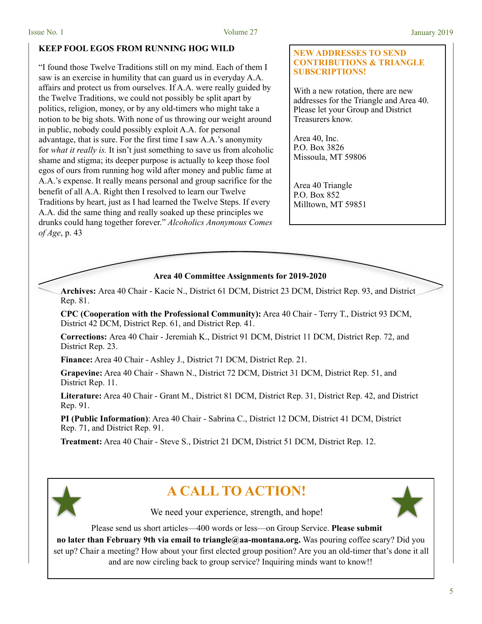### **KEEP FOOL EGOS FROM RUNNING HOG WILD**

"I found those Twelve Traditions still on my mind. Each of them I saw is an exercise in humility that can guard us in everyday A.A. affairs and protect us from ourselves. If A.A. were really guided by the Twelve Traditions, we could not possibly be split apart by politics, religion, money, or by any old-timers who might take a notion to be big shots. With none of us throwing our weight around in public, nobody could possibly exploit A.A. for personal advantage, that is sure. For the first time I saw A.A.'s anonymity for *what it really is.* It isn't just something to save us from alcoholic shame and stigma; its deeper purpose is actually to keep those fool egos of ours from running hog wild after money and public fame at A.A.'s expense. It really means personal and group sacrifice for the benefit of all A.A. Right then I resolved to learn our Twelve Traditions by heart, just as I had learned the Twelve Steps. If every A.A. did the same thing and really soaked up these principles we drunks could hang together forever." *Alcoholics Anonymous Comes of Age*, p. 43

### **NEW ADDRESSES TO SEND CONTRIBUTIONS & TRIANGLE SUBSCRIPTIONS!**

With a new rotation, there are new addresses for the Triangle and Area 40. Please let your Group and District Treasurers know.

Area 40, Inc. P.O. Box 3826 Missoula, MT 59806

Area 40 Triangle P.O. Box 852 Milltown, MT 59851

### **Area 40 Committee Assignments for 2019-2020**

**Archives:** Area 40 Chair - Kacie N., District 61 DCM, District 23 DCM, District Rep. 93, and District Rep. 81.

**CPC (Cooperation with the Professional Community):** Area 40 Chair - Terry T., District 93 DCM, District 42 DCM, District Rep. 61, and District Rep. 41.

**Corrections:** Area 40 Chair - Jeremiah K., District 91 DCM, District 11 DCM, District Rep. 72, and District Rep. 23.

**Finance:** Area 40 Chair - Ashley J., District 71 DCM, District Rep. 21.

**Grapevine:** Area 40 Chair - Shawn N., District 72 DCM, District 31 DCM, District Rep. 51, and District Rep. 11.

**Literature:** Area 40 Chair - Grant M., District 81 DCM, District Rep. 31, District Rep. 42, and District Rep. 91.

**PI (Public Information)**: Area 40 Chair - Sabrina C., District 12 DCM, District 41 DCM, District Rep. 71, and District Rep. 91.

**Treatment:** Area 40 Chair - Steve S., District 21 DCM, District 51 DCM, District Rep. 12.



# **A CALL TO ACTION!**



We need your experience, strength, and hope!

Please send us short articles—400 words or less—on Group Service. **Please submit** 

**no later than February 9th via email to triangle@aa-montana.org.** Was pouring coffee scary? Did you set up? Chair a meeting? How about your first elected group position? Are you an old-timer that's done it all and are now circling back to group service? Inquiring minds want to know!!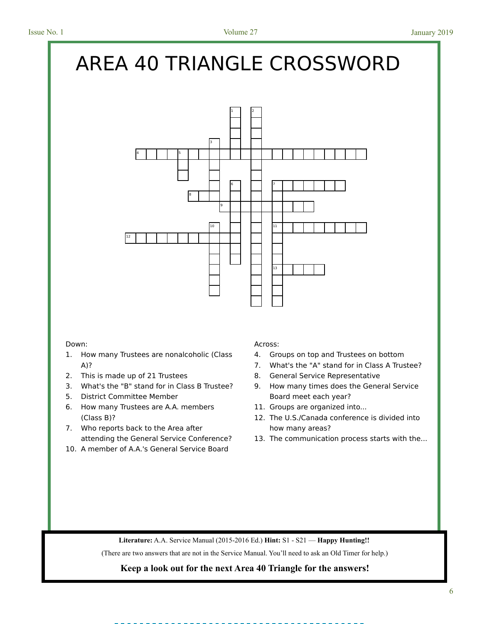# AREA 40 TRIANGLE CROSSWORD



- 1. How many Trustees are nonalcoholic (Class A)?
- 2. This is made up of 21 Trustees
- 3. What's the "B" stand for in Class B Trustee?
- 5. District Committee Member
- 6. How many Trustees are A.A. members (Class B)?
- 7. Who reports back to the Area after attending the General Service Conference?
- 10. A member of A.A.'s General Service Board

### Down: Across: Across: Across: Across: Across: Across: Across: Across: Across: Across: Across: Across: Across: Across: Across: Across: Across: Across: Across: Across: Across: Across: Across: Across: Across: Across: Across:

- 4. Groups on top and Trustees on bottom
- 7. What's the "A" stand for in Class A Trustee?
- 8. General Service Representative
- 9. How many times does the General Service Board meet each year?
- 11. Groups are organized into...
- 12. The U.S./Canada conference is divided into how many areas?
- 13. The communication process starts with the...

® **Literature:** A.A. Service Manual (2015-2016 Ed.) **Hint:** S1 - S21 — **Happy Hunting!!** 

Literature: A.A. Service Manual (2015-2016 Ed.) Hint: S1 - S21 — Happy Hunting!!<br>(There are two answers that are not in the Service Manual. You'll need to ask an Old Timer for help.)

## Keep a look out for the next Area 40 Triangle for the answers!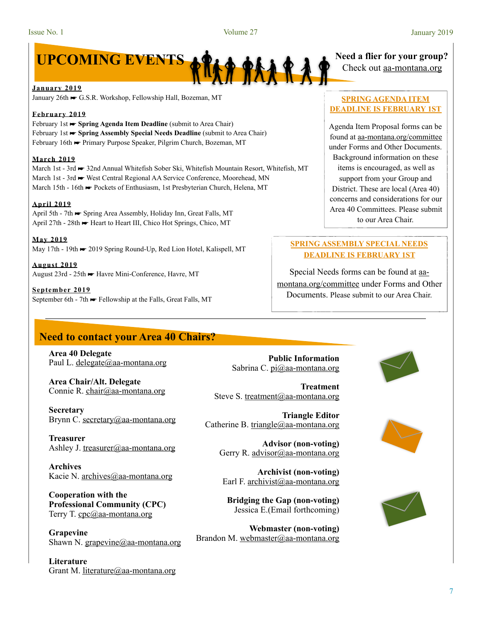

**January 2019** 

January 26th ☛ G.S.R. Workshop, Fellowship Hall, Bozeman, MT

### **February 2019**

February 1st ► **Spring Agenda Item Deadline** (submit to Area Chair) February 1st ☛ **Spring Assembly Special Needs Deadline** (submit to Area Chair) February 16th ► Primary Purpose Speaker, Pilgrim Church, Bozeman, MT

### **March 2019**

March 1st - 3rd ← 32nd Annual Whitefish Sober Ski, Whitefish Mountain Resort, Whitefish, MT March 1st - 3rd ► West Central Regional AA Service Conference, Moorehead, MN March 15th - 16th ► Pockets of Enthusiasm, 1st Presbyterian Church, Helena, MT

### **April 2019**

April 5th - 7th ☛ Spring Area Assembly, Holiday Inn, Great Falls, MT April 27th - 28th ☛ Heart to Heart III, Chico Hot Springs, Chico, MT

**May 2019**  May 17th - 19th → 2019 Spring Round-Up, Red Lion Hotel, Kalispell, MT

**August 2019**  August 23rd - 25th ☛ Havre Mini-Conference, Havre, MT

**September 2019**  September 6th - 7th ► Fellowship at the Falls, Great Falls, MT

### **Need to contact your Area 40 Chairs?**

**Area 40 Delegate**  Paul L. [delegate@aa-montana.org](mailto:delegate@aa-montana.org)

**Area Chair/Alt. Delegate**  Connie R. [chair@aa-montana.org](mailto:chair@aa-montana.org)

**Secretary**  Brynn C. [secretary@aa-montana.org](mailto:secretary@aa-montana.org)

**Treasurer**  Ashley J. [treasurer@aa-montana.org](mailto:treasurer@aa-montana.org)

**Archives**  Kacie N. [archives@aa-montana.org](mailto:archives@aa-montana.org)

**Cooperation with the Professional Community (CPC)**  Terry T. [cpc@aa-montana.org](mailto:cpc@aa-montana.org)

**Grapevine**  Shawn N. [grapevine@aa-montana.org](mailto:grapevine@aa-montana.org)

**Literature**  Grant M. [literature@aa-montana.org](mailto:literature@aa-montana.org)

**Public Information**  Sabrina C. [pi@aa-montana.org](mailto:pi@aa-montana.org)

**Treatment**  Steve S. [treatment@aa-montana.org](mailto:treatment@aa-montana.org)

**Triangle Editor**  Catherine B. [triangle@aa-montana.org](mailto:triangle@aa-montana.org)

> **Advisor (non-voting)**  Gerry R. [advisor@aa-montana.org](mailto:advisor@aa-montana.org)

**Archivist (non-voting)**  Earl F. [archivist@aa-montana.org](mailto:archivist@aa-montana.org)

**Bridging the Gap (non-voting)**  Jessica E.(Email forthcoming)

**Webmaster (non-voting)**  Brandon M. [webmaster@aa-montana.org](mailto:webmaster@aa-montana.org)

# Check out aa-montana.org

### **SPRING AGENDA ITEM DEADLINE IS FEBRUARY 1ST**

Agenda Item Proposal forms can be found at [aa-montana.org/committee](http://aa-montana.org/committee) under Forms and Other Documents. Background information on these items is encouraged, as well as support from your Group and District. These are local (Area 40) concerns and considerations for our Area 40 Committees. Please submit to our Area Chair.

### **SPRING ASSEMBLY SPECIAL NEEDS DEADLINE IS FEBRUARY 1ST**

Special Needs forms can be found at [aa](http://aa-montana.org/committee)[montana.org/committee](http://aa-montana.org/committee) under Forms and Other Documents. Please submit to our Area Chair.